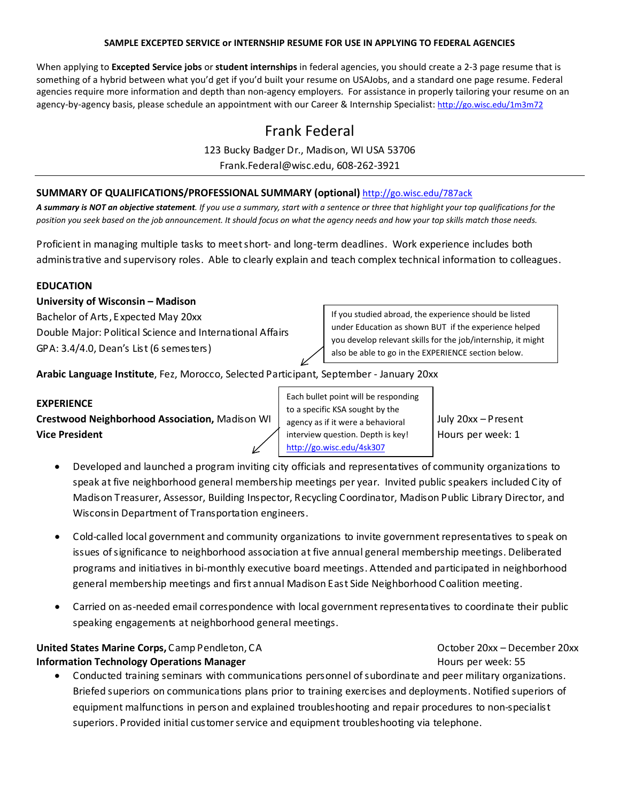### **SAMPLE EXCEPTED SERVICE or INTERNSHIP RESUME FOR USE IN APPLYING TO FEDERAL AGENCIES**

When applying to **Excepted Service jobs** or **student internships** in federal agencies, you should create a 2-3 page resume that is something of a hybrid between what you'd get if you'd built your resume on USAJobs, and a standard one page resume. Federal agencies require more information and depth than non-agency employers. For assistance in properly tailoring your resume on an agency-by-agency basis, please schedule an appointment with our Career & Internship Specialist: http://go.wisc.edu/1m3m72

# Frank Federal

123 Bucky Badger Dr., Madison, WI USA 53706 Frank.Federal@wisc.edu, 608-262-3921

### **SUMMARY OF QUALIFICATIONS/PROFESSIONAL SUMMARY (optional)** <http://go.wisc.edu/787ack>

*A summary is NOT an objective statement. If you use a summary, start with a sentence or three that highlight your top qualifications for the position you seek based on the job announcement. It should focus on what the agency needs and how your top skills match those needs.*

Proficient in managing multiple tasks to meet short- and long-term deadlines. Work experience includes both administrative and supervisory roles. Able to clearly explain and teach complex technical information to colleagues.

### **EDUCATION**

### **University of Wisconsin – Madison**

Bachelor of Arts, Expected May 20xx Double Major: Political Science and International Affairs GPA: 3.4/4.0, Dean's List (6 semesters)

If you studied abroad, the experience should be listed under Education as shown BUT if the experience helped you develop relevant skills for the job/internship, it might also be able to go in the EXPERIENCE section below.

**Arabic Language Institute**, Fez, Morocco, Selected Participant, September - January 20xx

### **EXPERIENCE**

**Crestwood Neighborhood Association,** Madison WI  $\parallel$  agency as if it were a behavioral  $\parallel$  July 20xx – Present **Vice President Alternative Contract Contract Contract Contract President** (Hours per week: 1

Each bullet point will be responding to a specific KSA sought by the agency as if it were a behavioral <http://go.wisc.edu/4sk307>

- Developed and launched a program inviting city officials and representatives of community organizations to speak at five neighborhood general membership meetings per year. Invited public speakers included City of Madison Treasurer, Assessor, Building Inspector, Recycling Coordinator, Madison Public Library Director, and Wisconsin Department of Transportation engineers.
- Cold-called local government and community organizations to invite government representatives to speak on issues of significance to neighborhood association at five annual general membership meetings. Deliberated programs and initiatives in bi-monthly executive board meetings. Attended and participated in neighborhood general membership meetings and first annual Madison East Side Neighborhood Coalition meeting.
- Carried on as-needed email correspondence with local government representatives to coordinate their public speaking engagements at neighborhood general meetings.

**United States Marine Corps,** Camp Pendleton, CA Camp Corporation COVID-10 October 20xx – December 20xx **Information Technology Operations Manager Hours per week: 55** and the Hours per week: 55

• Conducted training seminars with communications personnel of subordinate and peer military organizations. Briefed superiors on communications plans prior to training exercises and deployments. Notified superiors of equipment malfunctions in person and explained troubleshooting and repair procedures to non-specialist superiors. Provided initial customer service and equipment troubleshooting via telephone.